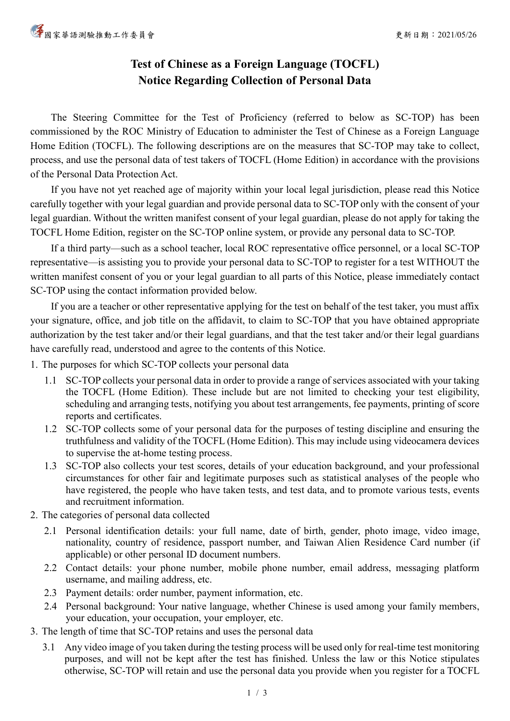## **Test of Chinese as a Foreign Language (TOCFL) Notice Regarding Collection of Personal Data**

The Steering Committee for the Test of Proficiency (referred to below as SC-TOP) has been commissioned by the ROC Ministry of Education to administer the Test of Chinese as a Foreign Language Home Edition (TOCFL). The following descriptions are on the measures that SC-TOP may take to collect, process, and use the personal data of test takers of TOCFL (Home Edition) in accordance with the provisions of the Personal Data Protection Act.

 If you have not yet reached age of majority within your local legal jurisdiction, please read this Notice carefully together with your legal guardian and provide personal data to SC-TOP only with the consent of your legal guardian. Without the written manifest consent of your legal guardian, please do not apply for taking the TOCFL Home Edition, register on the SC-TOP online system, or provide any personal data to SC-TOP.

If a third party—such as a school teacher, local ROC representative office personnel, or a local SC-TOP representative—is assisting you to provide your personal data to SC-TOP to register for a test WITHOUT the written manifest consent of you or your legal guardian to all parts of this Notice, please immediately contact SC-TOP using the contact information provided below.

If you are a teacher or other representative applying for the test on behalf of the test taker, you must affix your signature, office, and job title on the affidavit, to claim to SC-TOP that you have obtained appropriate authorization by the test taker and/or their legal guardians, and that the test taker and/or their legal guardians have carefully read, understood and agree to the contents of this Notice.

1. The purposes for which SC-TOP collects your personal data

- 1.1 SC-TOP collects your personal data in order to provide a range of services associated with your taking the TOCFL (Home Edition). These include but are not limited to checking your test eligibility, scheduling and arranging tests, notifying you about test arrangements, fee payments, printing of score reports and certificates.
- 1.2 SC-TOP collects some of your personal data for the purposes of testing discipline and ensuring the truthfulness and validity of the TOCFL (Home Edition). This may include using videocamera devices to supervise the at-home testing process.
- 1.3 SC-TOP also collects your test scores, details of your education background, and your professional circumstances for other fair and legitimate purposes such as statistical analyses of the people who have registered, the people who have taken tests, and test data, and to promote various tests, events and recruitment information.
- 2. The categories of personal data collected
	- 2.1 Personal identification details: your full name, date of birth, gender, photo image, video image, nationality, country of residence, passport number, and Taiwan Alien Residence Card number (if applicable) or other personal ID document numbers.
	- 2.2 Contact details: your phone number, mobile phone number, email address, messaging platform username, and mailing address, etc.
	- 2.3 Payment details: order number, payment information, etc.
	- 2.4 Personal background: Your native language, whether Chinese is used among your family members, your education, your occupation, your employer, etc.
- 3. The length of time that SC-TOP retains and uses the personal data
	- 3.1 Any video image of you taken during the testing process will be used only for real-time test monitoring purposes, and will not be kept after the test has finished. Unless the law or this Notice stipulates otherwise, SC-TOP will retain and use the personal data you provide when you register for a TOCFL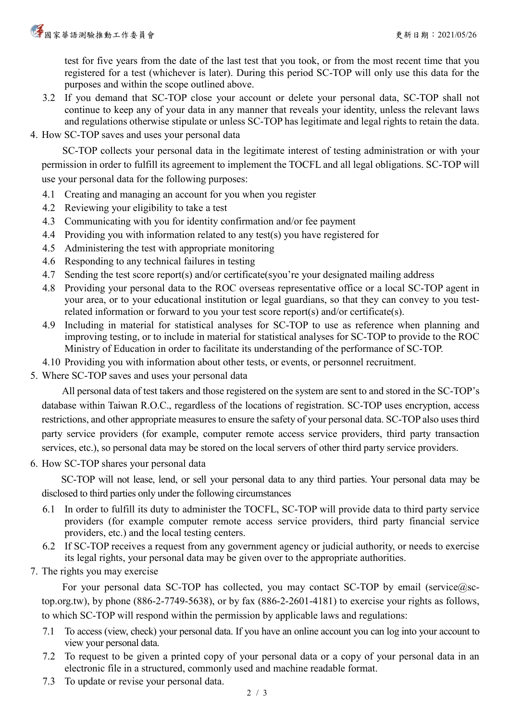test for five years from the date of the last test that you took, or from the most recent time that you registered for a test (whichever is later). During this period SC-TOP will only use this data for the purposes and within the scope outlined above.

- 3.2 If you demand that SC-TOP close your account or delete your personal data, SC-TOP shall not continue to keep any of your data in any manner that reveals your identity, unless the relevant laws and regulations otherwise stipulate or unless SC-TOP has legitimate and legal rights to retain the data.
- 4. How SC-TOP saves and uses your personal data

SC-TOP collects your personal data in the legitimate interest of testing administration or with your permission in order to fulfill its agreement to implement the TOCFL and all legal obligations. SC-TOP will use your personal data for the following purposes:

- 4.1 Creating and managing an account for you when you register
- 4.2 Reviewing your eligibility to take a test
- 4.3 Communicating with you for identity confirmation and/or fee payment
- 4.4 Providing you with information related to any test(s) you have registered for
- 4.5 Administering the test with appropriate monitoring
- 4.6 Responding to any technical failures in testing
- 4.7 Sending the test score report(s) and/or certificate(syou're your designated mailing address
- 4.8 Providing your personal data to the ROC overseas representative office or a local SC-TOP agent in your area, or to your educational institution or legal guardians, so that they can convey to you testrelated information or forward to you your test score report(s) and/or certificate(s).
- 4.9 Including in material for statistical analyses for SC-TOP to use as reference when planning and improving testing, or to include in material for statistical analyses for SC-TOP to provide to the ROC Ministry of Education in order to facilitate its understanding of the performance of SC-TOP.
- 4.10 Providing you with information about other tests, or events, or personnel recruitment.
- 5. Where SC-TOP saves and uses your personal data

All personal data of test takers and those registered on the system are sent to and stored in the SC-TOP's database within Taiwan R.O.C., regardless of the locations of registration. SC-TOP uses encryption, access restrictions, and other appropriate measures to ensure the safety of your personal data. SC-TOP also uses third party service providers (for example, computer remote access service providers, third party transaction services, etc.), so personal data may be stored on the local servers of other third party service providers.

6. How SC-TOP shares your personal data

SC-TOP will not lease, lend, or sell your personal data to any third parties. Your personal data may be disclosed to third parties only under the following circumstances

- 6.1 In order to fulfill its duty to administer the TOCFL, SC-TOP will provide data to third party service providers (for example computer remote access service providers, third party financial service providers, etc.) and the local testing centers.
- 6.2 If SC-TOP receives a request from any government agency or judicial authority, or needs to exercise its legal rights, your personal data may be given over to the appropriate authorities.
- 7. The rights you may exercise

For your personal data SC-TOP has collected, you may contact SC-TOP by email (service@sctop.org.tw), by phone (886-2-7749-5638), or by fax (886-2-2601-4181) to exercise your rights as follows, to which SC-TOP will respond within the permission by applicable laws and regulations:

- 7.1 To access (view, check) your personal data. If you have an online account you can log into your account to view your personal data.
- 7.2 To request to be given a printed copy of your personal data or a copy of your personal data in an electronic file in a structured, commonly used and machine readable format.
- 7.3 To update or revise your personal data.